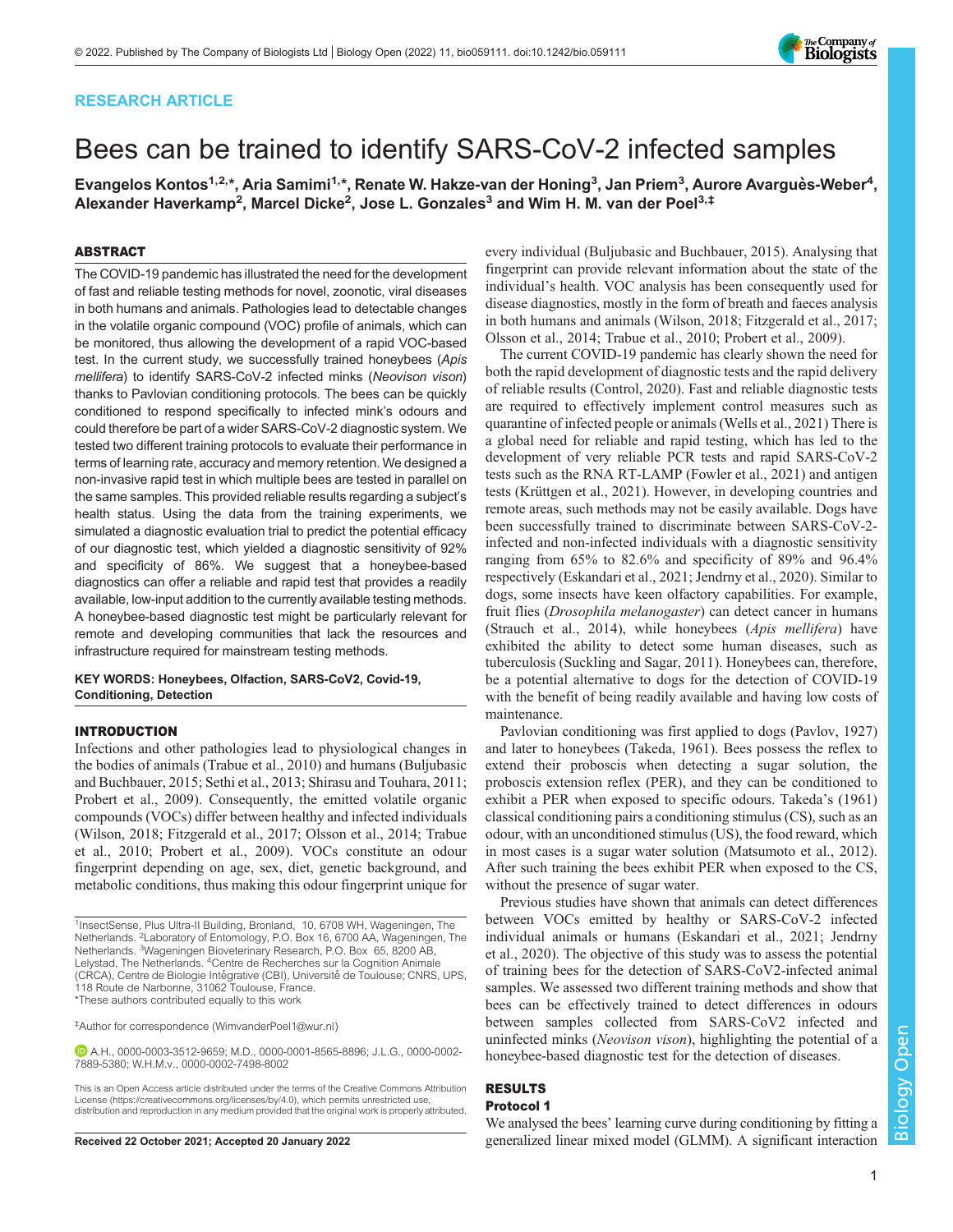# RESEARCH ARTICLE

# Bees can be trained to identify SARS-CoV-2 infected samples

Evangelos Kontos<sup>1,2,</sup>\*, Aria Samimi<sup>1,</sup>\*, Renate W. Hakze-van der Honing<sup>3</sup>, Jan Priem<sup>3</sup>, Aurore Avarguès-Weber<sup>4</sup>, Alexander Haverkamp<sup>2</sup>, Marcel Dicke<sup>2</sup>, Jose L. Gonzales<sup>3</sup> and Wim H. M. van der Poel<sup>3,‡</sup>

# ABSTRACT

The COVID-19 pandemic has illustrated the need for the development of fast and reliable testing methods for novel, zoonotic, viral diseases in both humans and animals. Pathologies lead to detectable changes in the volatile organic compound (VOC) profile of animals, which can be monitored, thus allowing the development of a rapid VOC-based test. In the current study, we successfully trained honeybees (Apis mellifera) to identify SARS-CoV-2 infected minks (Neovison vison) thanks to Pavlovian conditioning protocols. The bees can be quickly conditioned to respond specifically to infected mink's odours and could therefore be part of a wider SARS-CoV-2 diagnostic system. We tested two different training protocols to evaluate their performance in terms of learning rate, accuracy and memory retention. We designed a non-invasive rapid test in which multiple bees are tested in parallel on the same samples. This provided reliable results regarding a subject's health status. Using the data from the training experiments, we simulated a diagnostic evaluation trial to predict the potential efficacy of our diagnostic test, which yielded a diagnostic sensitivity of 92% and specificity of 86%. We suggest that a honeybee-based diagnostics can offer a reliable and rapid test that provides a readily available, low-input addition to the currently available testing methods. A honeybee-based diagnostic test might be particularly relevant for remote and developing communities that lack the resources and infrastructure required for mainstream testing methods.

KEY WORDS: Honeybees, Olfaction, SARS-CoV2, Covid-19, Conditioning, Detection

# INTRODUCTION

Infections and other pathologies lead to physiological changes in the bodies of animals [\(Trabue et al., 2010\)](#page-7-0) and humans ([Buljubasic](#page-6-0) [and Buchbauer, 2015; Sethi et al., 2013;](#page-6-0) [Shirasu and Touhara, 2011](#page-7-0); [Probert et al., 2009\)](#page-6-0). Consequently, the emitted volatile organic compounds (VOCs) differ between healthy and infected individuals [\(Wilson, 2018](#page-7-0); [Fitzgerald et al., 2017](#page-6-0); [Olsson et al., 2014](#page-6-0); [Trabue](#page-7-0) [et al., 2010](#page-7-0); [Probert et al., 2009](#page-6-0)). VOCs constitute an odour fingerprint depending on age, sex, diet, genetic background, and metabolic conditions, thus making this odour fingerprint unique for

‡ Author for correspondence ([WimvanderPoel1@wur.nl](mailto:WimvanderPoel1@wur.nl))

A.H., [0000-0003-3512-9659](http://orcid.org/0000-0003-3512-9659); M.D., [0000-0001-8565-8896](http://orcid.org/0000-0001-8565-8896); J.L.G., [0000-0002-](http://orcid.org/0000-0002-7889-5380) [7889-5380](http://orcid.org/0000-0002-7889-5380); W.H.M.v., [0000-0002-7498-8002](http://orcid.org/0000-0002-7498-8002)

This is an Open Access article distributed under the terms of the Creative Commons Attribution License (https://creativecommons.org/licenses/by/4.0), which permits unrestricted use, distribution and reproduction in any medium provided that the original work is properly attributed.

every individual [\(Buljubasic and Buchbauer, 2015\)](#page-6-0). Analysing that fingerprint can provide relevant information about the state of the individual's health. VOC analysis has been consequently used for disease diagnostics, mostly in the form of breath and faeces analysis in both humans and animals [\(Wilson, 2018](#page-7-0); [Fitzgerald et al., 2017](#page-6-0); [Olsson et al., 2014;](#page-6-0) [Trabue et al., 2010](#page-7-0); [Probert et al., 2009](#page-6-0)).

The current COVID-19 pandemic has clearly shown the need for both the rapid development of diagnostic tests and the rapid delivery of reliable results [\(Control, 2020\)](#page-6-0). Fast and reliable diagnostic tests are required to effectively implement control measures such as quarantine of infected people or animals [\(Wells et al., 2021](#page-7-0)) There is a global need for reliable and rapid testing, which has led to the development of very reliable PCR tests and rapid SARS-CoV-2 tests such as the RNA RT-LAMP [\(Fowler et al., 2021\)](#page-6-0) and antigen tests [\(Krüttgen et al., 2021](#page-6-0)). However, in developing countries and remote areas, such methods may not be easily available. Dogs have been successfully trained to discriminate between SARS-CoV-2 infected and non-infected individuals with a diagnostic sensitivity ranging from 65% to 82.6% and specificity of 89% and 96.4% respectively ([Eskandari et al., 2021; Jendrny et al., 2020\)](#page-6-0). Similar to dogs, some insects have keen olfactory capabilities. For example, fruit flies (Drosophila melanogaster) can detect cancer in humans [\(Strauch et al., 2014\)](#page-7-0), while honeybees (Apis mellifera) have exhibited the ability to detect some human diseases, such as tuberculosis [\(Suckling and Sagar, 2011\)](#page-7-0). Honeybees can, therefore, be a potential alternative to dogs for the detection of COVID-19 with the benefit of being readily available and having low costs of maintenance.

Pavlovian conditioning was first applied to dogs [\(Pavlov, 1927\)](#page-6-0) and later to honeybees ([Takeda, 1961](#page-7-0)). Bees possess the reflex to extend their proboscis when detecting a sugar solution, the proboscis extension reflex (PER), and they can be conditioned to exhibit a PER when exposed to specific odours. Takeda'[s \(1961\)](#page-7-0) classical conditioning pairs a conditioning stimulus (CS), such as an odour, with an unconditioned stimulus (US), the food reward, which in most cases is a sugar water solution ([Matsumoto et al., 2012\)](#page-6-0). After such training the bees exhibit PER when exposed to the CS, without the presence of sugar water.

Previous studies have shown that animals can detect differences between VOCs emitted by healthy or SARS-CoV-2 infected individual animals or humans [\(Eskandari et al., 2021; Jendrny](#page-6-0) [et al., 2020](#page-6-0)). The objective of this study was to assess the potential of training bees for the detection of SARS-CoV2-infected animal samples. We assessed two different training methods and show that bees can be effectively trained to detect differences in odours between samples collected from SARS-CoV2 infected and uninfected minks (Neovison vison), highlighting the potential of a honeybee-based diagnostic test for the detection of diseases.

### RESULTS Protocol 1

We analysed the bees' learning curve during conditioning by fitting a Received 22 October 2021; Accepted 20 January 2022 generalized linear mixed model (GLMM). A significant interaction



<sup>&</sup>lt;sup>1</sup>InsectSense, Plus Ultra-II Building, Bronland, 10, 6708 WH, Wageningen, The Netherlands. <sup>2</sup> Laboratory of Entomology, P.O. Box 16, 6700 AA, Wageningen, The Netherlands. <sup>3</sup>Wageningen Bioveterinary Research, P.O. Box 65, 8200 AB, Lelystad, The Netherlands. <sup>4</sup> Centre de Recherches sur la Cognition Animale (CRCA), Centre de Biologie Intégrative (CBI), Université de Toulouse; CNRS, UPS, 118 Route de Narbonne, 31062 Toulouse, France. \*These authors contributed equally to this work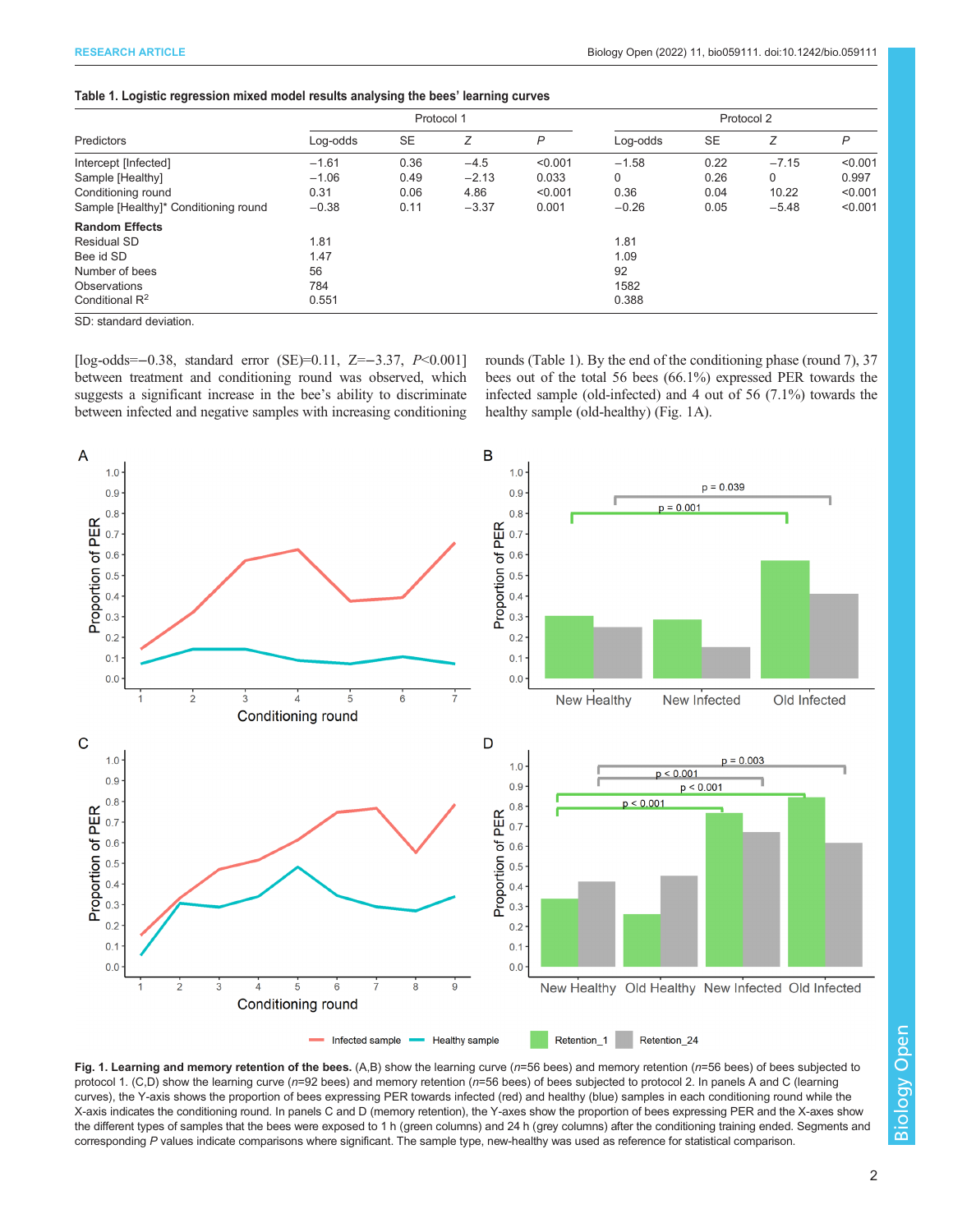<span id="page-1-0"></span>

| Table 1. Logistic regression mixed model results analysing the bees' learning curves |  |  |  |
|--------------------------------------------------------------------------------------|--|--|--|
|                                                                                      |  |  |  |

| <b>Predictors</b>                         | Protocol 1 |           |         | Protocol 2 |             |           |          |         |
|-------------------------------------------|------------|-----------|---------|------------|-------------|-----------|----------|---------|
|                                           | Log-odds   | <b>SE</b> | Z       | P          | Log-odds    | <b>SE</b> | Ζ        | P       |
| Intercept [Infected]                      | $-1.61$    | 0.36      | $-4.5$  | < 0.001    | $-1.58$     | 0.22      | $-7.15$  | < 0.001 |
| Sample [Healthy]                          | $-1.06$    | 0.49      | $-2.13$ | 0.033      | $\mathbf 0$ | 0.26      | $\Omega$ | 0.997   |
| Conditioning round                        | 0.31       | 0.06      | 4.86    | < 0.001    | 0.36        | 0.04      | 10.22    | < 0.001 |
| Sample [Healthy]* Conditioning round      | $-0.38$    | 0.11      | $-3.37$ | 0.001      | $-0.26$     | 0.05      | $-5.48$  | < 0.001 |
| <b>Random Effects</b>                     |            |           |         |            |             |           |          |         |
| <b>Residual SD</b>                        | 1.81       |           |         |            | 1.81        |           |          |         |
| Bee id SD                                 | 1.47       |           |         |            | 1.09        |           |          |         |
| Number of bees                            | 56         |           |         |            | 92          |           |          |         |
| Observations                              | 784        |           |         |            | 1582        |           |          |         |
| Conditional R <sup>2</sup>                | 0.551      |           |         |            | 0.388       |           |          |         |
| $\sim$ $\sim$ $\sim$ $\sim$ $\sim$ $\sim$ |            |           |         |            |             |           |          |         |

SD: standard deviation.

[log-odds=−0.38, standard error (SE)=0.11, Z=−3.37, P<0.001] between treatment and conditioning round was observed, which suggests a significant increase in the bee's ability to discriminate between infected and negative samples with increasing conditioning rounds (Table 1). By the end of the conditioning phase (round 7), 37 bees out of the total 56 bees (66.1%) expressed PER towards the infected sample (old-infected) and 4 out of 56 (7.1%) towards the healthy sample (old-healthy) (Fig. 1A).



Fig. 1. Learning and memory retention of the bees.  $(A, B)$  show the learning curve ( $n=56$  bees) and memory retention ( $n=56$  bees) of bees subjected to protocol 1. (C,D) show the learning curve (n=92 bees) and memory retention (n=56 bees) of bees subjected to protocol 2. In panels A and C (learning curves), the Y-axis shows the proportion of bees expressing PER towards infected (red) and healthy (blue) samples in each conditioning round while the X-axis indicates the conditioning round. In panels C and D (memory retention), the Y-axes show the proportion of bees expressing PER and the X-axes show the different types of samples that the bees were exposed to 1 h (green columns) and 24 h (grey columns) after the conditioning training ended. Segments and corresponding P values indicate comparisons where significant. The sample type, new-healthy was used as reference for statistical comparison.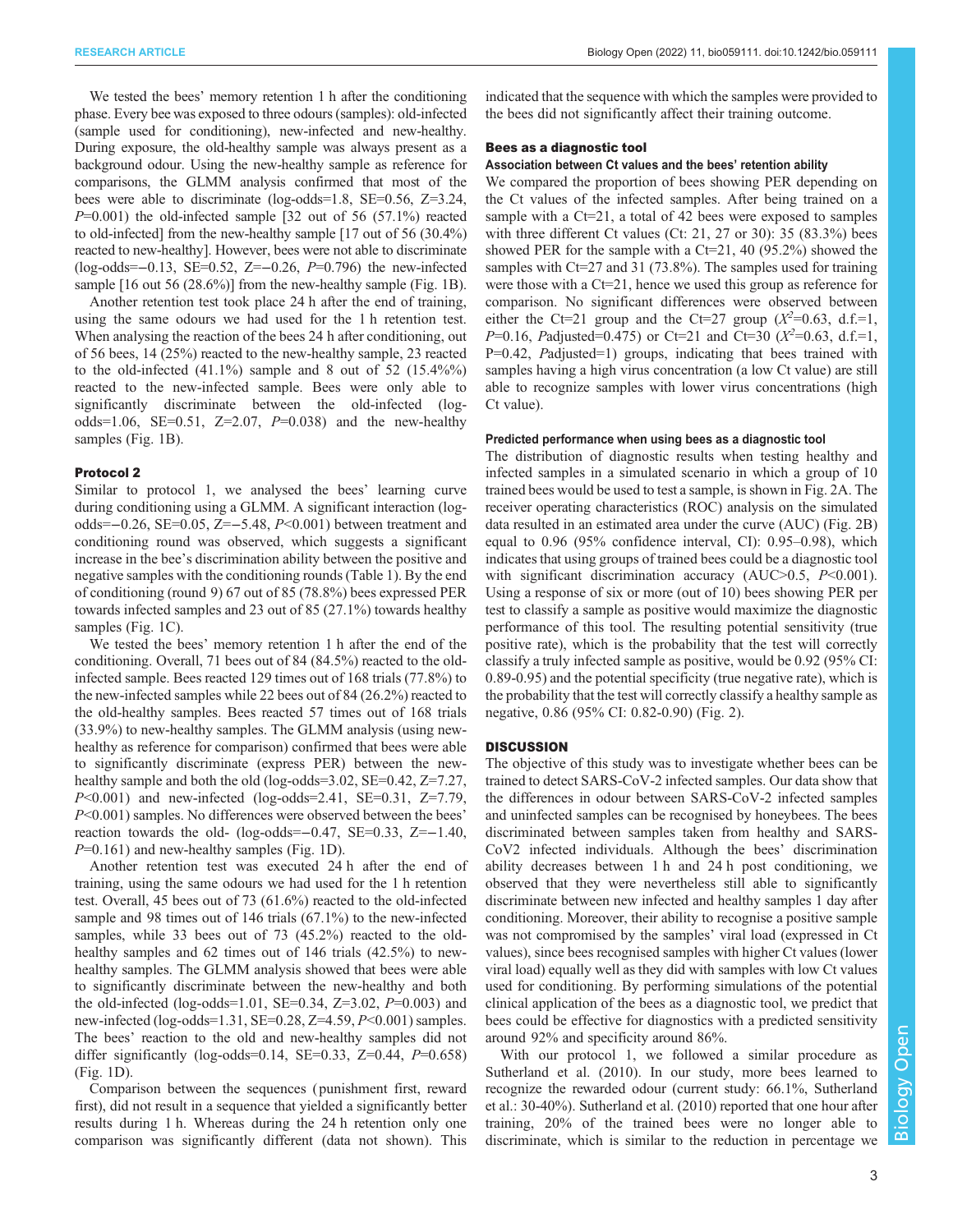We tested the bees' memory retention 1 h after the conditioning phase. Every bee was exposed to three odours (samples): old-infected (sample used for conditioning), new-infected and new-healthy. During exposure, the old-healthy sample was always present as a background odour. Using the new-healthy sample as reference for comparisons, the GLMM analysis confirmed that most of the bees were able to discriminate (log-odds=1.8, SE=0.56, Z=3.24,  $P=0.001$ ) the old-infected sample [32 out of 56 (57.1%) reacted to old-infected] from the new-healthy sample [17 out of 56 (30.4%) reacted to new-healthy]. However, bees were not able to discriminate (log-odds=−0.13, SE=0.52, Z=−0.26, P=0.796) the new-infected sample [16 out 56 (28.6%)] from the new-healthy sample ([Fig. 1](#page-1-0)B).

Another retention test took place 24 h after the end of training, using the same odours we had used for the 1 h retention test. When analysing the reaction of the bees 24 h after conditioning, out of 56 bees, 14 (25%) reacted to the new-healthy sample, 23 reacted to the old-infected  $(41.1\%)$  sample and 8 out of 52  $(15.4\%)$ reacted to the new-infected sample. Bees were only able to significantly discriminate between the old-infected (logodds=1.06, SE=0.51, Z=2.07,  $P=0.038$  and the new-healthy samples [\(Fig. 1](#page-1-0)B).

# Protocol 2

Similar to protocol 1, we analysed the bees' learning curve during conditioning using a GLMM. A significant interaction (logodds=−0.26, SE=0.05, Z=−5.48, P<0.001) between treatment and conditioning round was observed, which suggests a significant increase in the bee's discrimination ability between the positive and negative samples with the conditioning rounds [\(Table 1\)](#page-1-0). By the end of conditioning (round 9) 67 out of 85 (78.8%) bees expressed PER towards infected samples and 23 out of 85 (27.1%) towards healthy samples [\(Fig. 1](#page-1-0)C).

We tested the bees' memory retention 1 h after the end of the conditioning. Overall, 71 bees out of 84 (84.5%) reacted to the oldinfected sample. Bees reacted 129 times out of 168 trials (77.8%) to the new-infected samples while 22 bees out of 84 (26.2%) reacted to the old-healthy samples. Bees reacted 57 times out of 168 trials (33.9%) to new-healthy samples. The GLMM analysis (using newhealthy as reference for comparison) confirmed that bees were able to significantly discriminate (express PER) between the newhealthy sample and both the old (log-odds=3.02, SE=0.42, Z=7.27,  $P<0.001$ ) and new-infected (log-odds=2.41, SE=0.31, Z=7.79, P<0.001) samples. No differences were observed between the bees' reaction towards the old- (log-odds= $-0.47$ , SE=0.33, Z= $-1.40$ ,  $P=0.161$ ) and new-healthy samples [\(Fig. 1D](#page-1-0)).

Another retention test was executed 24 h after the end of training, using the same odours we had used for the 1 h retention test. Overall, 45 bees out of 73 (61.6%) reacted to the old-infected sample and 98 times out of 146 trials (67.1%) to the new-infected samples, while 33 bees out of 73 (45.2%) reacted to the oldhealthy samples and 62 times out of 146 trials (42.5%) to newhealthy samples. The GLMM analysis showed that bees were able to significantly discriminate between the new-healthy and both the old-infected (log-odds=1.01, SE=0.34, Z=3.02,  $P=0.003$ ) and new-infected (log-odds=1.31, SE=0.28, Z=4.59, P<0.001) samples. The bees' reaction to the old and new-healthy samples did not differ significantly (log-odds=0.14, SE=0.33, Z=0.44,  $P=0.658$ ) [\(Fig. 1](#page-1-0)D).

Comparison between the sequences ( punishment first, reward first), did not result in a sequence that yielded a significantly better results during 1 h. Whereas during the 24 h retention only one comparison was significantly different (data not shown). This indicated that the sequence with which the samples were provided to the bees did not significantly affect their training outcome.

# Bees as a diagnostic tool

# Association between Ct values and the bees' retention ability

We compared the proportion of bees showing PER depending on the Ct values of the infected samples. After being trained on a sample with a Ct=21, a total of 42 bees were exposed to samples with three different Ct values (Ct: 21, 27 or 30): 35 (83.3%) bees showed PER for the sample with a  $Ct=21$ , 40 (95.2%) showed the samples with Ct=27 and 31 (73.8%). The samples used for training were those with a Ct=21, hence we used this group as reference for comparison. No significant differences were observed between either the Ct=21 group and the Ct=27 group  $(X^2=0.63, d.f.=1, P=0.16, P=0.475)$  or Ct=21 and Ct=30  $(X^2=0.63, d.f.=1, P=0.63)$  $P=0.16$ , Padjusted=0.475) or Ct=21 and Ct=30 ( $X^2=0.63$ , d.f.=1,<br>P=0.42, Padjusted=1) groups, indicating that bees trained with P=0.42, Padjusted=1) groups, indicating that bees trained with samples having a high virus concentration (a low Ct value) are still able to recognize samples with lower virus concentrations (high Ct value).

### Predicted performance when using bees as a diagnostic tool

The distribution of diagnostic results when testing healthy and infected samples in a simulated scenario in which a group of 10 trained bees would be used to test a sample, is shown in [Fig. 2](#page-3-0)A. The receiver operating characteristics (ROC) analysis on the simulated data resulted in an estimated area under the curve (AUC) [\(Fig. 2B](#page-3-0)) equal to 0.96 (95% confidence interval, CI): 0.95–0.98), which indicates that using groups of trained bees could be a diagnostic tool with significant discrimination accuracy (AUC $>0.5$ ,  $P<0.001$ ). Using a response of six or more (out of 10) bees showing PER per test to classify a sample as positive would maximize the diagnostic performance of this tool. The resulting potential sensitivity (true positive rate), which is the probability that the test will correctly classify a truly infected sample as positive, would be 0.92 (95% CI: 0.89-0.95) and the potential specificity (true negative rate), which is the probability that the test will correctly classify a healthy sample as negative, 0.86 (95% CI: 0.82-0.90) ([Fig. 2](#page-3-0)).

### **DISCUSSION**

The objective of this study was to investigate whether bees can be trained to detect SARS-CoV-2 infected samples. Our data show that the differences in odour between SARS-CoV-2 infected samples and uninfected samples can be recognised by honeybees. The bees discriminated between samples taken from healthy and SARS-CoV2 infected individuals. Although the bees' discrimination ability decreases between 1 h and 24 h post conditioning, we observed that they were nevertheless still able to significantly discriminate between new infected and healthy samples 1 day after conditioning. Moreover, their ability to recognise a positive sample was not compromised by the samples' viral load (expressed in Ct values), since bees recognised samples with higher Ct values (lower viral load) equally well as they did with samples with low Ct values used for conditioning. By performing simulations of the potential clinical application of the bees as a diagnostic tool, we predict that bees could be effective for diagnostics with a predicted sensitivity around 92% and specificity around 86%.

With our protocol 1, we followed a similar procedure as [Sutherland et al. \(2010\)](#page-7-0). In our study, more bees learned to recognize the rewarded odour (current study: 66.1%, Sutherland et al.: 30-40%). [Sutherland et al. \(2010\)](#page-7-0) reported that one hour after training, 20% of the trained bees were no longer able to discriminate, which is similar to the reduction in percentage we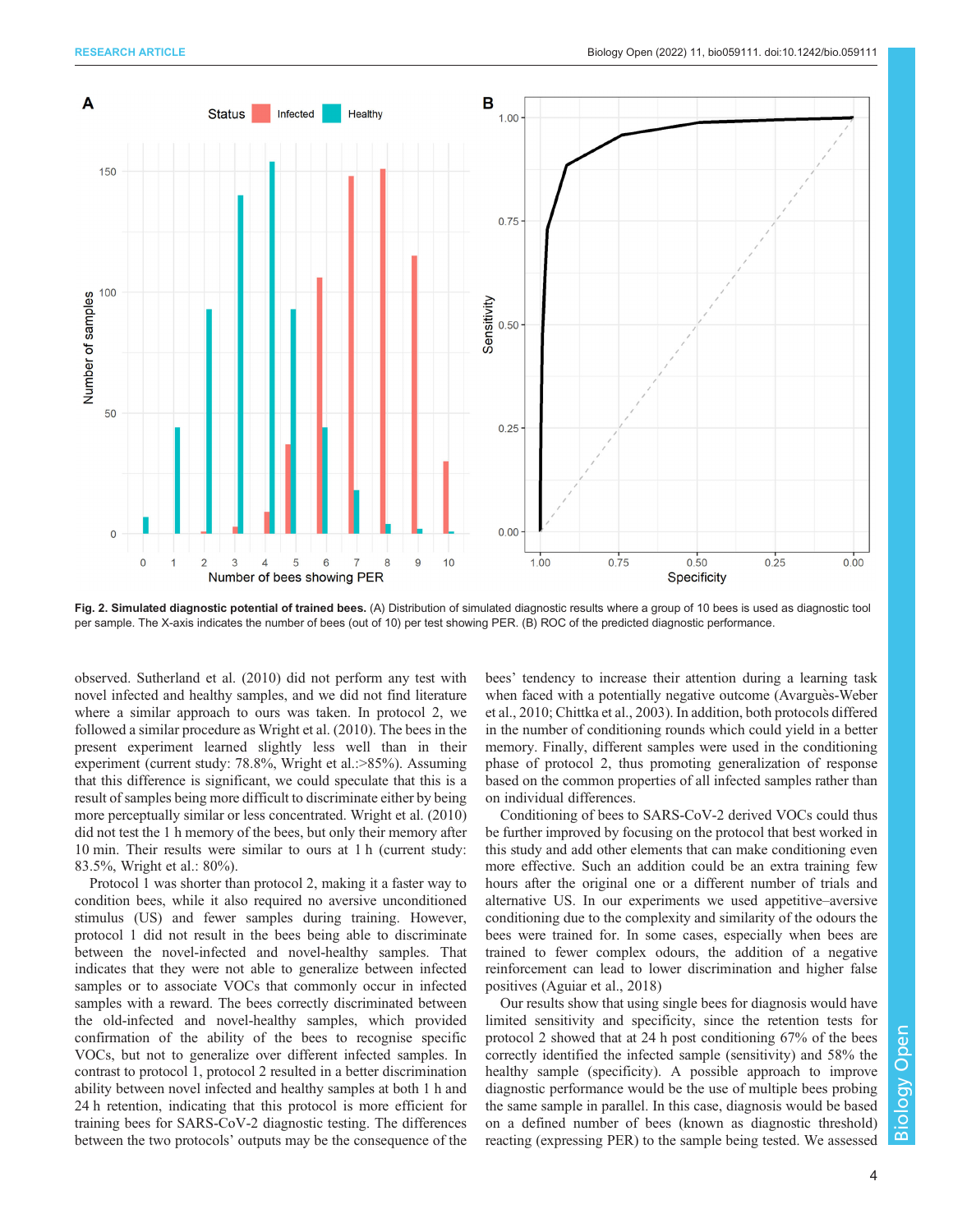<span id="page-3-0"></span>

Fig. 2. Simulated diagnostic potential of trained bees. (A) Distribution of simulated diagnostic results where a group of 10 bees is used as diagnostic tool per sample. The X-axis indicates the number of bees (out of 10) per test showing PER. (B) ROC of the predicted diagnostic performance.

observed. [Sutherland et al. \(2010\)](#page-7-0) did not perform any test with novel infected and healthy samples, and we did not find literature where a similar approach to ours was taken. In protocol 2, we followed a similar procedure as [Wright et al. \(2010\).](#page-7-0) The bees in the present experiment learned slightly less well than in their experiment (current study: 78.8%, Wright et al.:>85%). Assuming that this difference is significant, we could speculate that this is a result of samples being more difficult to discriminate either by being more perceptually similar or less concentrated. [Wright et al. \(2010\)](#page-7-0) did not test the 1 h memory of the bees, but only their memory after 10 min. Their results were similar to ours at 1 h (current study: 83.5%, Wright et al.: 80%).

Protocol 1 was shorter than protocol 2, making it a faster way to condition bees, while it also required no aversive unconditioned stimulus (US) and fewer samples during training. However, protocol 1 did not result in the bees being able to discriminate between the novel-infected and novel-healthy samples. That indicates that they were not able to generalize between infected samples or to associate VOCs that commonly occur in infected samples with a reward. The bees correctly discriminated between the old-infected and novel-healthy samples, which provided confirmation of the ability of the bees to recognise specific VOCs, but not to generalize over different infected samples. In contrast to protocol 1, protocol 2 resulted in a better discrimination ability between novel infected and healthy samples at both 1 h and 24 h retention, indicating that this protocol is more efficient for training bees for SARS-CoV-2 diagnostic testing. The differences between the two protocols' outputs may be the consequence of the

bees' tendency to increase their attention during a learning task when faced with a potentially negative outcome ([Avargues-Weber](#page-6-0) [et al., 2010; Chittka et al., 2003](#page-6-0)). In addition, both protocols differed in the number of conditioning rounds which could yield in a better memory. Finally, different samples were used in the conditioning phase of protocol 2, thus promoting generalization of response based on the common properties of all infected samples rather than on individual differences.

Conditioning of bees to SARS-CoV-2 derived VOCs could thus be further improved by focusing on the protocol that best worked in this study and add other elements that can make conditioning even more effective. Such an addition could be an extra training few hours after the original one or a different number of trials and alternative US. In our experiments we used appetitive–aversive conditioning due to the complexity and similarity of the odours the bees were trained for. In some cases, especially when bees are trained to fewer complex odours, the addition of a negative reinforcement can lead to lower discrimination and higher false positives [\(Aguiar et al., 2018](#page-6-0))

Our results show that using single bees for diagnosis would have limited sensitivity and specificity, since the retention tests for protocol 2 showed that at 24 h post conditioning 67% of the bees correctly identified the infected sample (sensitivity) and 58% the healthy sample (specificity). A possible approach to improve diagnostic performance would be the use of multiple bees probing the same sample in parallel. In this case, diagnosis would be based on a defined number of bees (known as diagnostic threshold) reacting (expressing PER) to the sample being tested. We assessed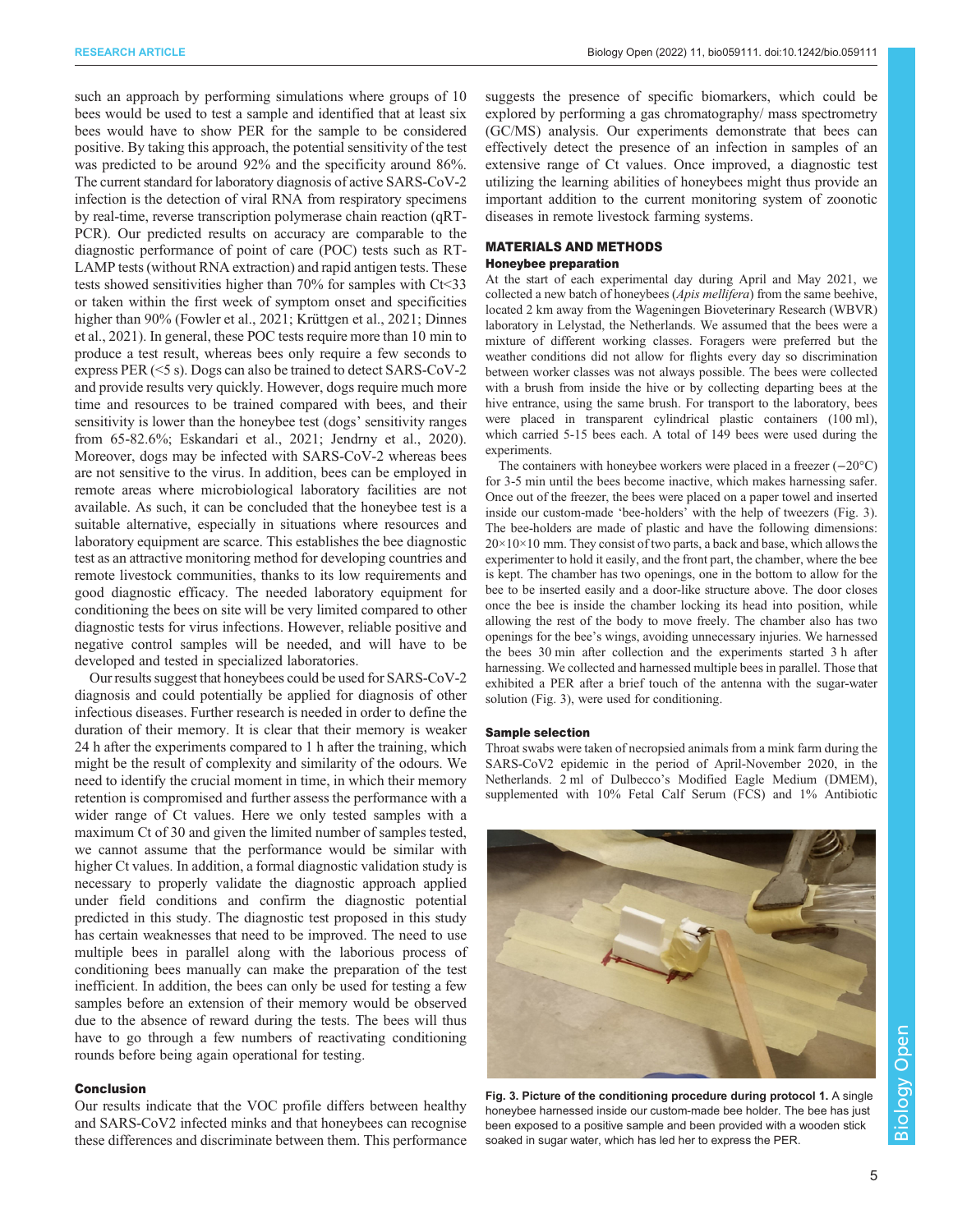<span id="page-4-0"></span>such an approach by performing simulations where groups of 10 bees would be used to test a sample and identified that at least six bees would have to show PER for the sample to be considered positive. By taking this approach, the potential sensitivity of the test was predicted to be around 92% and the specificity around 86%. The current standard for laboratory diagnosis of active SARS-CoV-2 infection is the detection of viral RNA from respiratory specimens by real-time, reverse transcription polymerase chain reaction (qRT-PCR). Our predicted results on accuracy are comparable to the diagnostic performance of point of care (POC) tests such as RT-LAMP tests (without RNA extraction) and rapid antigen tests. These tests showed sensitivities higher than 70% for samples with Ct<33 or taken within the first week of symptom onset and specificities higher than 90% ([Fowler et al., 2021; Krüttgen et al., 2021](#page-6-0); [Dinnes](#page-6-0) [et al., 2021\)](#page-6-0). In general, these POC tests require more than 10 min to produce a test result, whereas bees only require a few seconds to express PER (<5 s). Dogs can also be trained to detect SARS-CoV-2 and provide results very quickly. However, dogs require much more time and resources to be trained compared with bees, and their sensitivity is lower than the honeybee test (dogs' sensitivity ranges from 65-82.6%; [Eskandari et al., 2021](#page-6-0); [Jendrny et al., 2020\)](#page-6-0). Moreover, dogs may be infected with SARS-CoV-2 whereas bees are not sensitive to the virus. In addition, bees can be employed in remote areas where microbiological laboratory facilities are not available. As such, it can be concluded that the honeybee test is a suitable alternative, especially in situations where resources and laboratory equipment are scarce. This establishes the bee diagnostic test as an attractive monitoring method for developing countries and remote livestock communities, thanks to its low requirements and good diagnostic efficacy. The needed laboratory equipment for conditioning the bees on site will be very limited compared to other diagnostic tests for virus infections. However, reliable positive and negative control samples will be needed, and will have to be developed and tested in specialized laboratories.

Our results suggest that honeybees could be used for SARS-CoV-2 diagnosis and could potentially be applied for diagnosis of other infectious diseases. Further research is needed in order to define the duration of their memory. It is clear that their memory is weaker 24 h after the experiments compared to 1 h after the training, which might be the result of complexity and similarity of the odours. We need to identify the crucial moment in time, in which their memory retention is compromised and further assess the performance with a wider range of Ct values. Here we only tested samples with a maximum Ct of 30 and given the limited number of samples tested, we cannot assume that the performance would be similar with higher Ct values. In addition, a formal diagnostic validation study is necessary to properly validate the diagnostic approach applied under field conditions and confirm the diagnostic potential predicted in this study. The diagnostic test proposed in this study has certain weaknesses that need to be improved. The need to use multiple bees in parallel along with the laborious process of conditioning bees manually can make the preparation of the test inefficient. In addition, the bees can only be used for testing a few samples before an extension of their memory would be observed due to the absence of reward during the tests. The bees will thus have to go through a few numbers of reactivating conditioning rounds before being again operational for testing.

# Conclusion

Our results indicate that the VOC profile differs between healthy and SARS-CoV2 infected minks and that honeybees can recognise these differences and discriminate between them. This performance

suggests the presence of specific biomarkers, which could be explored by performing a gas chromatography/ mass spectrometry (GC/MS) analysis. Our experiments demonstrate that bees can effectively detect the presence of an infection in samples of an extensive range of Ct values. Once improved, a diagnostic test utilizing the learning abilities of honeybees might thus provide an important addition to the current monitoring system of zoonotic diseases in remote livestock farming systems.

# MATERIALS AND METHODS

# Honeybee preparation

At the start of each experimental day during April and May 2021, we collected a new batch of honeybees (Apis mellifera) from the same beehive, located 2 km away from the Wageningen Bioveterinary Research (WBVR) laboratory in Lelystad, the Netherlands. We assumed that the bees were a mixture of different working classes. Foragers were preferred but the weather conditions did not allow for flights every day so discrimination between worker classes was not always possible. The bees were collected with a brush from inside the hive or by collecting departing bees at the hive entrance, using the same brush. For transport to the laboratory, bees were placed in transparent cylindrical plastic containers (100 ml), which carried 5-15 bees each. A total of 149 bees were used during the experiments.

The containers with honeybee workers were placed in a freezer (−20°C) for 3-5 min until the bees become inactive, which makes harnessing safer. Once out of the freezer, the bees were placed on a paper towel and inserted inside our custom-made 'bee-holders' with the help of tweezers (Fig. 3). The bee-holders are made of plastic and have the following dimensions: 20×10×10 mm. They consist of two parts, a back and base, which allows the experimenter to hold it easily, and the front part, the chamber, where the bee is kept. The chamber has two openings, one in the bottom to allow for the bee to be inserted easily and a door-like structure above. The door closes once the bee is inside the chamber locking its head into position, while allowing the rest of the body to move freely. The chamber also has two openings for the bee's wings, avoiding unnecessary injuries. We harnessed the bees 30 min after collection and the experiments started 3 h after harnessing. We collected and harnessed multiple bees in parallel. Those that exhibited a PER after a brief touch of the antenna with the sugar-water solution (Fig. 3), were used for conditioning.

# Sample selection

Throat swabs were taken of necropsied animals from a mink farm during the SARS-CoV2 epidemic in the period of April-November 2020, in the Netherlands. 2 ml of Dulbecco's Modified Eagle Medium (DMEM), supplemented with 10% Fetal Calf Serum (FCS) and 1% Antibiotic



Fig. 3. Picture of the conditioning procedure during protocol 1. A single honeybee harnessed inside our custom-made bee holder. The bee has just been exposed to a positive sample and been provided with a wooden stick soaked in sugar water, which has led her to express the PER.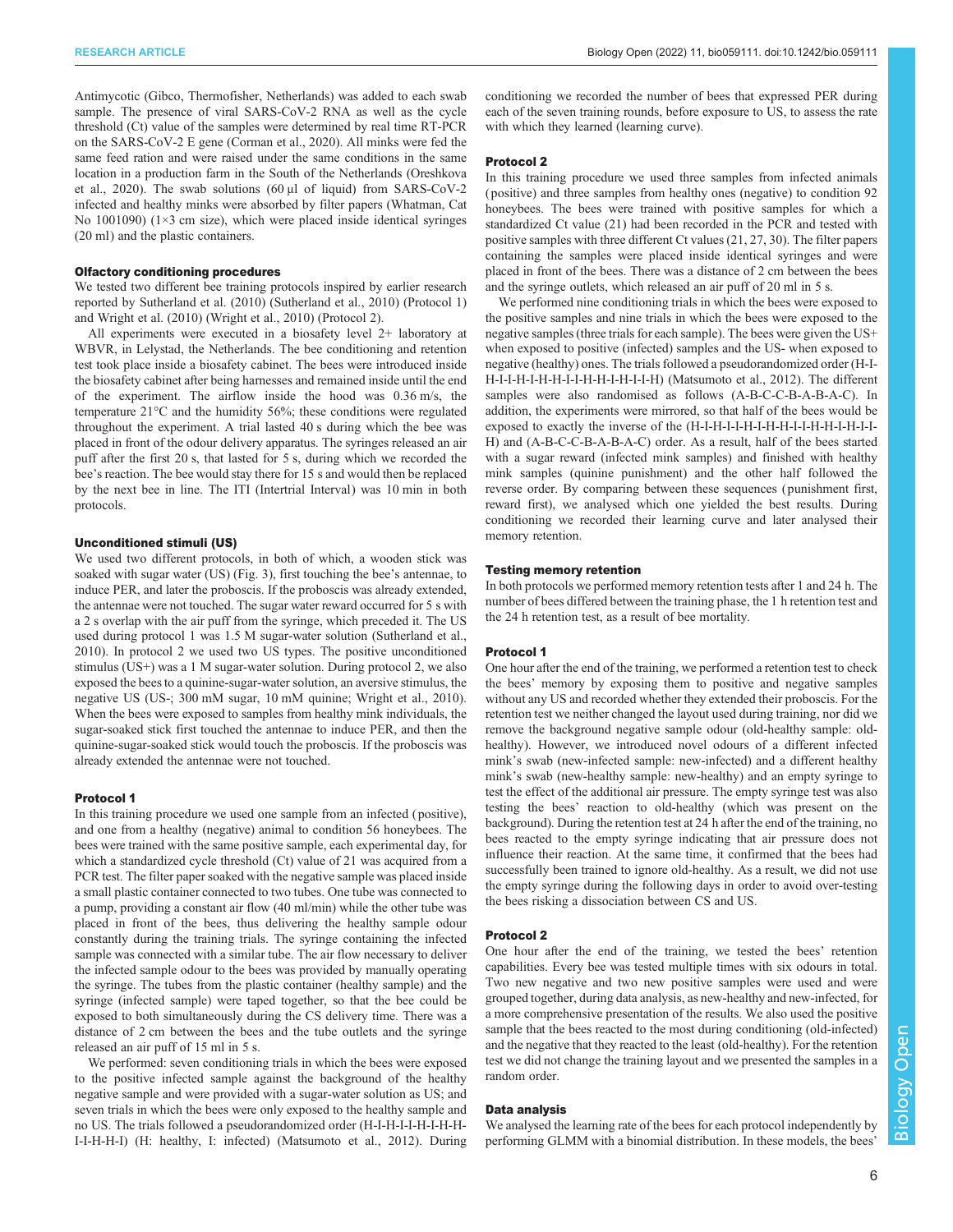Antimycotic (Gibco, Thermofisher, Netherlands) was added to each swab sample. The presence of viral SARS-CoV-2 RNA as well as the cycle threshold (Ct) value of the samples were determined by real time RT-PCR on the SARS-CoV-2 E gene ([Corman et al., 2020\)](#page-6-0). All minks were fed the same feed ration and were raised under the same conditions in the same location in a production farm in the South of the Netherlands ([Oreshkova](#page-6-0) [et al., 2020](#page-6-0)). The swab solutions (60 μl of liquid) from SARS-CoV-2 infected and healthy minks were absorbed by filter papers (Whatman, Cat No 1001090) (1×3 cm size), which were placed inside identical syringes (20 ml) and the plastic containers.

# Olfactory conditioning procedures

We tested two different bee training protocols inspired by earlier research reported by [Sutherland et al. \(2010\)](#page-7-0) [\(Sutherland et al., 2010\)](#page-7-0) (Protocol 1) and [Wright et al. \(2010\)](#page-7-0) [\(Wright et al., 2010](#page-7-0)) (Protocol 2).

All experiments were executed in a biosafety level 2+ laboratory at WBVR, in Lelystad, the Netherlands. The bee conditioning and retention test took place inside a biosafety cabinet. The bees were introduced inside the biosafety cabinet after being harnesses and remained inside until the end of the experiment. The airflow inside the hood was 0.36 m/s, the temperature 21°C and the humidity 56%; these conditions were regulated throughout the experiment. A trial lasted 40 s during which the bee was placed in front of the odour delivery apparatus. The syringes released an air puff after the first 20 s, that lasted for 5 s, during which we recorded the bee's reaction. The bee would stay there for 15 s and would then be replaced by the next bee in line. The ITI (Intertrial Interval) was 10 min in both protocols.

### Unconditioned stimuli (US)

We used two different protocols, in both of which, a wooden stick was soaked with sugar water (US) ([Fig. 3\)](#page-4-0), first touching the bee's antennae, to induce PER, and later the proboscis. If the proboscis was already extended, the antennae were not touched. The sugar water reward occurred for 5 s with a 2 s overlap with the air puff from the syringe, which preceded it. The US used during protocol 1 was 1.5 M sugar-water solution ([Sutherland et al.,](#page-7-0) [2010](#page-7-0)). In protocol 2 we used two US types. The positive unconditioned stimulus (US+) was a 1 M sugar-water solution. During protocol 2, we also exposed the bees to a quinine-sugar-water solution, an aversive stimulus, the negative US (US-; 300 mM sugar, 10 mM quinine; [Wright et al., 2010](#page-7-0)). When the bees were exposed to samples from healthy mink individuals, the sugar-soaked stick first touched the antennae to induce PER, and then the quinine-sugar-soaked stick would touch the proboscis. If the proboscis was already extended the antennae were not touched.

### Protocol 1

In this training procedure we used one sample from an infected ( positive), and one from a healthy (negative) animal to condition 56 honeybees. The bees were trained with the same positive sample, each experimental day, for which a standardized cycle threshold (Ct) value of 21 was acquired from a PCR test. The filter paper soaked with the negative sample was placed inside a small plastic container connected to two tubes. One tube was connected to a pump, providing a constant air flow (40 ml/min) while the other tube was placed in front of the bees, thus delivering the healthy sample odour constantly during the training trials. The syringe containing the infected sample was connected with a similar tube. The air flow necessary to deliver the infected sample odour to the bees was provided by manually operating the syringe. The tubes from the plastic container (healthy sample) and the syringe (infected sample) were taped together, so that the bee could be exposed to both simultaneously during the CS delivery time. There was a distance of 2 cm between the bees and the tube outlets and the syringe released an air puff of 15 ml in 5 s.

We performed: seven conditioning trials in which the bees were exposed to the positive infected sample against the background of the healthy negative sample and were provided with a sugar-water solution as US; and seven trials in which the bees were only exposed to the healthy sample and no US. The trials followed a pseudorandomized order (H-I-H-I-I-H-I-H-H-I-I-H-H-I) (H: healthy, I: infected) ([Matsumoto et al., 2012\)](#page-6-0). During

conditioning we recorded the number of bees that expressed PER during each of the seven training rounds, before exposure to US, to assess the rate with which they learned (learning curve).

#### Protocol 2

In this training procedure we used three samples from infected animals ( positive) and three samples from healthy ones (negative) to condition 92 honeybees. The bees were trained with positive samples for which a standardized Ct value (21) had been recorded in the PCR and tested with positive samples with three different Ct values (21, 27, 30). The filter papers containing the samples were placed inside identical syringes and were placed in front of the bees. There was a distance of 2 cm between the bees and the syringe outlets, which released an air puff of 20 ml in 5 s.

We performed nine conditioning trials in which the bees were exposed to the positive samples and nine trials in which the bees were exposed to the negative samples (three trials for each sample). The bees were given the US+ when exposed to positive (infected) samples and the US- when exposed to negative (healthy) ones. The trials followed a pseudorandomized order (H-I-H-I-I-H-I-H-H-I-I-H-H-I-H-I-I-H) [\(Matsumoto et al., 2012\)](#page-6-0). The different samples were also randomised as follows (A-B-C-C-B-A-B-A-C). In addition, the experiments were mirrored, so that half of the bees would be exposed to exactly the inverse of the (H-I-H-I-I-H-I-H-H-I-I-H-H-I-H-I-I-H) and (A-B-C-C-B-A-B-A-C) order. As a result, half of the bees started with a sugar reward (infected mink samples) and finished with healthy mink samples (quinine punishment) and the other half followed the reverse order. By comparing between these sequences ( punishment first, reward first), we analysed which one yielded the best results. During conditioning we recorded their learning curve and later analysed their memory retention.

### Testing memory retention

In both protocols we performed memory retention tests after 1 and 24 h. The number of bees differed between the training phase, the 1 h retention test and the 24 h retention test, as a result of bee mortality.

### Protocol 1

One hour after the end of the training, we performed a retention test to check the bees' memory by exposing them to positive and negative samples without any US and recorded whether they extended their proboscis. For the retention test we neither changed the layout used during training, nor did we remove the background negative sample odour (old-healthy sample: oldhealthy). However, we introduced novel odours of a different infected mink's swab (new-infected sample: new-infected) and a different healthy mink's swab (new-healthy sample: new-healthy) and an empty syringe to test the effect of the additional air pressure. The empty syringe test was also testing the bees' reaction to old-healthy (which was present on the background). During the retention test at 24 h after the end of the training, no bees reacted to the empty syringe indicating that air pressure does not influence their reaction. At the same time, it confirmed that the bees had successfully been trained to ignore old-healthy. As a result, we did not use the empty syringe during the following days in order to avoid over-testing the bees risking a dissociation between CS and US.

### Protocol 2

One hour after the end of the training, we tested the bees' retention capabilities. Every bee was tested multiple times with six odours in total. Two new negative and two new positive samples were used and were grouped together, during data analysis, as new-healthy and new-infected, for a more comprehensive presentation of the results. We also used the positive sample that the bees reacted to the most during conditioning (old-infected) and the negative that they reacted to the least (old-healthy). For the retention test we did not change the training layout and we presented the samples in a random order.

### Data analysis

We analysed the learning rate of the bees for each protocol independently by performing GLMM with a binomial distribution. In these models, the bees'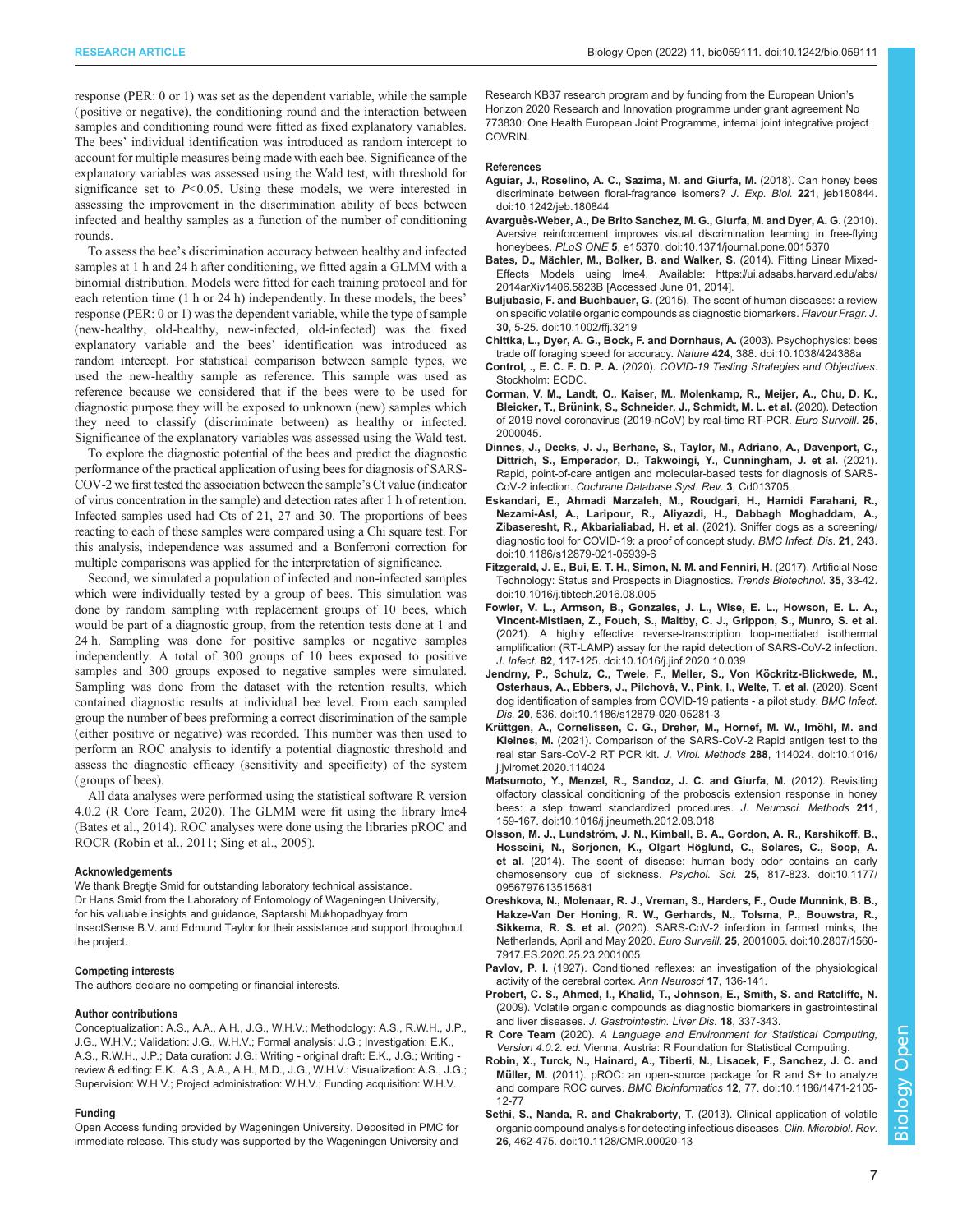<span id="page-6-0"></span>response (PER: 0 or 1) was set as the dependent variable, while the sample ( positive or negative), the conditioning round and the interaction between samples and conditioning round were fitted as fixed explanatory variables. The bees' individual identification was introduced as random intercept to account for multiple measures being made with each bee. Significance of the explanatory variables was assessed using the Wald test, with threshold for significance set to  $P<0.05$ . Using these models, we were interested in assessing the improvement in the discrimination ability of bees between infected and healthy samples as a function of the number of conditioning rounds.

To assess the bee's discrimination accuracy between healthy and infected samples at 1 h and 24 h after conditioning, we fitted again a GLMM with a binomial distribution. Models were fitted for each training protocol and for each retention time (1 h or 24 h) independently. In these models, the bees' response (PER: 0 or 1) was the dependent variable, while the type of sample (new-healthy, old-healthy, new-infected, old-infected) was the fixed explanatory variable and the bees' identification was introduced as random intercept. For statistical comparison between sample types, we used the new-healthy sample as reference. This sample was used as reference because we considered that if the bees were to be used for diagnostic purpose they will be exposed to unknown (new) samples which they need to classify (discriminate between) as healthy or infected. Significance of the explanatory variables was assessed using the Wald test.

To explore the diagnostic potential of the bees and predict the diagnostic performance of the practical application of using bees for diagnosis of SARS-COV-2 we first tested the association between the sample's Ct value (indicator of virus concentration in the sample) and detection rates after 1 h of retention. Infected samples used had Cts of 21, 27 and 30. The proportions of bees reacting to each of these samples were compared using a Chi square test. For this analysis, independence was assumed and a Bonferroni correction for multiple comparisons was applied for the interpretation of significance.

Second, we simulated a population of infected and non-infected samples which were individually tested by a group of bees. This simulation was done by random sampling with replacement groups of 10 bees, which would be part of a diagnostic group, from the retention tests done at 1 and 24 h. Sampling was done for positive samples or negative samples independently. A total of 300 groups of 10 bees exposed to positive samples and 300 groups exposed to negative samples were simulated. Sampling was done from the dataset with the retention results, which contained diagnostic results at individual bee level. From each sampled group the number of bees preforming a correct discrimination of the sample (either positive or negative) was recorded. This number was then used to perform an ROC analysis to identify a potential diagnostic threshold and assess the diagnostic efficacy (sensitivity and specificity) of the system (groups of bees).

All data analyses were performed using the statistical software R version 4.0.2 (R Core Team, 2020). The GLMM were fit using the library lme4 (Bates et al., 2014). ROC analyses were done using the libraries pROC and ROCR (Robin et al., 2011; [Sing et al., 2005\)](#page-7-0).

#### Acknowledgements

We thank Bregtje Smid for outstanding laboratory technical assistance. Dr Hans Smid from the Laboratory of Entomology of Wageningen University, for his valuable insights and guidance, Saptarshi Mukhopadhyay from InsectSense B.V. and Edmund Taylor for their assistance and support throughout the project.

### Competing interests

The authors declare no competing or financial interests.

### Author contributions

Conceptualization: A.S., A.A., A.H., J.G., W.H.V.; Methodology: A.S., R.W.H., J.P., J.G., W.H.V.; Validation: J.G., W.H.V.; Formal analysis: J.G.; Investigation: E.K., A.S., R.W.H., J.P.; Data curation: J.G.; Writing - original draft: E.K., J.G.; Writing review & editing: E.K., A.S., A.A., A.H., M.D., J.G., W.H.V.; Visualization: A.S., J.G.; Supervision: W.H.V.; Project administration: W.H.V.; Funding acquisition: W.H.V.

#### Funding

Open Access funding provided by Wageningen University. Deposited in PMC for immediate release. This study was supported by the Wageningen University and

Research KB37 research program and by funding from the European Union's Horizon 2020 Research and Innovation programme under grant agreement No 773830: One Health European Joint Programme, internal joint integrative project COVRIN.

### References

- [Aguiar, J., Roselino, A. C., Sazima, M. and Giurfa, M.](https://doi.org/10.1242/jeb.180844) (2018). Can honey bees [discriminate between floral-fragrance isomers?](https://doi.org/10.1242/jeb.180844) J. Exp. Biol. 221, jeb180844. [doi:10.1242/jeb.180844](https://doi.org/10.1242/jeb.180844)
- Avarguès-Weber, A., De Brito Sanchez, M. G., Giurfa, M. and Dyer, A. G. (2010). [Aversive reinforcement improves visual discrimination learning in free-flying](https://doi.org/10.1371/journal.pone.0015370) honeybees. PLoS ONE 5[, e15370. doi:10.1371/journal.pone.0015370](https://doi.org/10.1371/journal.pone.0015370)
- Bates, D., Mächler, M., Bolker, B. and Walker, S. (2014). Fitting Linear Mixed-Effects Models using lme4. Available: [https://ui.adsabs.harvard.edu/abs/](https://ui.adsabs.harvard.edu/abs/2014arXiv1406.5823B) [2014arXiv1406.5823B](https://ui.adsabs.harvard.edu/abs/2014arXiv1406.5823B) [Accessed June 01, 2014].
- Buljubasic, F. and Buchbauer, G. [\(2015\). The scent of human diseases: a review](https://doi.org/10.1002/ffj.3219) [on specific volatile organic compounds as diagnostic biomarkers.](https://doi.org/10.1002/ffj.3219) Flavour Fragr. J. 30[, 5-25. doi:10.1002/ffj.3219](https://doi.org/10.1002/ffj.3219)
- [Chittka, L., Dyer, A. G., Bock, F. and Dornhaus, A.](https://doi.org/10.1038/424388a) (2003). Psychophysics: bees [trade off foraging speed for accuracy.](https://doi.org/10.1038/424388a) Nature 424, 388. doi:10.1038/424388a
- Control, ., E. C. F. D. P. A. (2020). COVID-19 Testing Strategies and Objectives. Stockholm: ECDC.
- Corman, V. M., Landt, O., Kaiser, M., Molenkamp, R., Meijer, A., Chu, D. K., Bleicker, T., Brünink, S., Schneider, J., Schmidt, M. L. et al. (2020). Detection of 2019 novel coronavirus (2019-nCoV) by real-time RT-PCR. Euro Surveill. 25, 2000045.
- Dinnes, J., Deeks, J. J., Berhane, S., Taylor, M., Adriano, A., Davenport, C., Dittrich, S., Emperador, D., Takwoingi, Y., Cunningham, J. et al. (2021). Rapid, point-of-care antigen and molecular-based tests for diagnosis of SARS-CoV-2 infection. Cochrane Database Syst. Rev. 3, Cd013705.
- [Eskandari, E., Ahmadi Marzaleh, M., Roudgari, H., Hamidi Farahani, R.,](https://doi.org/10.1186/s12879-021-05939-6) [Nezami-Asl, A., Laripour, R., Aliyazdi, H., Dabbagh Moghaddam, A.,](https://doi.org/10.1186/s12879-021-05939-6) [Zibaseresht, R., Akbarialiabad, H. et al.](https://doi.org/10.1186/s12879-021-05939-6) (2021). Sniffer dogs as a screening/ [diagnostic tool for COVID-19: a proof of concept study.](https://doi.org/10.1186/s12879-021-05939-6) BMC Infect. Dis. 21, 243. [doi:10.1186/s12879-021-05939-6](https://doi.org/10.1186/s12879-021-05939-6)
- [Fitzgerald, J. E., Bui, E. T. H., Simon, N. M. and Fenniri, H.](https://doi.org/10.1016/j.tibtech.2016.08.005) (2017). Artificial Nose [Technology: Status and Prospects in Diagnostics.](https://doi.org/10.1016/j.tibtech.2016.08.005) Trends Biotechnol. 35, 33-42. [doi:10.1016/j.tibtech.2016.08.005](https://doi.org/10.1016/j.tibtech.2016.08.005)
- [Fowler, V. L., Armson, B., Gonzales, J. L., Wise, E. L., Howson, E. L. A.,](https://doi.org/10.1016/j.jinf.2020.10.039) [Vincent-Mistiaen, Z., Fouch, S., Maltby, C. J., Grippon, S., Munro, S. et al.](https://doi.org/10.1016/j.jinf.2020.10.039) [\(2021\). A highly effective reverse-transcription loop-mediated isothermal](https://doi.org/10.1016/j.jinf.2020.10.039) [amplification \(RT-LAMP\) assay for the rapid detection of SARS-CoV-2 infection.](https://doi.org/10.1016/j.jinf.2020.10.039) J. Infect. 82[, 117-125. doi:10.1016/j.jinf.2020.10.039](https://doi.org/10.1016/j.jinf.2020.10.039)
- [Jendrny, P., Schulz, C., Twele, F., Meller, S., Von Ko](https://doi.org/10.1186/s12879-020-05281-3)̈ckritz-Blickwede, M., Osterhaus, A., Ebbers, J., Pilchová, V., Pink, I., Welte, T. et al. (2020). Scent [dog identification of samples from COVID-19 patients - a pilot study.](https://doi.org/10.1186/s12879-020-05281-3) BMC Infect. Dis. 20[, 536. doi:10.1186/s12879-020-05281-3](https://doi.org/10.1186/s12879-020-05281-3)
- Krüttgen, A., Cornelissen, C. G., Dreher, M., Hornef, M. W., Imöhl, M. and Kleines, M. [\(2021\). Comparison of the SARS-CoV-2 Rapid antigen test to the](https://doi.org/10.1016/j.jviromet.2020.114024) [real star Sars-CoV-2 RT PCR kit.](https://doi.org/10.1016/j.jviromet.2020.114024) J. Virol. Methods 288, 114024. doi:10.1016/ [j.jviromet.2020.114024](https://doi.org/10.1016/j.jviromet.2020.114024)
- [Matsumoto, Y., Menzel, R., Sandoz, J. C. and Giurfa, M.](https://doi.org/10.1016/j.jneumeth.2012.08.018) (2012). Revisiting [olfactory classical conditioning of the proboscis extension response in honey](https://doi.org/10.1016/j.jneumeth.2012.08.018) [bees: a step toward standardized procedures.](https://doi.org/10.1016/j.jneumeth.2012.08.018) J. Neurosci. Methods 211, [159-167. doi:10.1016/j.jneumeth.2012.08.018](https://doi.org/10.1016/j.jneumeth.2012.08.018)
- Olsson, M. J., Lundströ[m, J. N., Kimball, B. A., Gordon, A. R., Karshikoff, B.,](https://doi.org/10.1177/0956797613515681) Hosseini, N., Sorjonen, K., Olgart Höglund, C., Solares, C., Soop, A. et al. [\(2014\). The scent of disease: human body odor contains an early](https://doi.org/10.1177/0956797613515681) [chemosensory cue of sickness.](https://doi.org/10.1177/0956797613515681) Psychol. Sci. 25, 817-823. doi:10.1177/ [0956797613515681](https://doi.org/10.1177/0956797613515681)
- [Oreshkova, N., Molenaar, R. J., Vreman, S., Harders, F., Oude Munnink, B. B.,](https://doi.org/10.2807/1560-7917.ES.2020.25.23.2001005) [Hakze-Van Der Honing, R. W., Gerhards, N., Tolsma, P., Bouwstra, R.,](https://doi.org/10.2807/1560-7917.ES.2020.25.23.2001005) Sikkema, R. S. et al. [\(2020\). SARS-CoV-2 infection in farmed minks, the](https://doi.org/10.2807/1560-7917.ES.2020.25.23.2001005) [Netherlands, April and May 2020.](https://doi.org/10.2807/1560-7917.ES.2020.25.23.2001005) Euro Surveill. 25, 2001005. doi:10.2807/1560- [7917.ES.2020.25.23.2001005](https://doi.org/10.2807/1560-7917.ES.2020.25.23.2001005)
- Pavlov, P. I. (1927). Conditioned reflexes: an investigation of the physiological activity of the cerebral cortex. Ann Neurosci 17, 136-141.
- Probert, C. S., Ahmed, I., Khalid, T., Johnson, E., Smith, S. and Ratcliffe, N. (2009). Volatile organic compounds as diagnostic biomarkers in gastrointestinal and liver diseases. J. Gastrointestin. Liver Dis. 18, 337-343.
- R Core Team (2020). A Language and Environment for Statistical Computing, Version 4.0.2. ed. Vienna, Austria: R Foundation for Statistical Computing.
- [Robin, X., Turck, N., Hainard, A., Tiberti, N., Lisacek, F., Sanchez, J. C. and](https://doi.org/10.1186/1471-2105-12-77) Müller, M. [\(2011\). pROC: an open-source package for R and S+ to analyze](https://doi.org/10.1186/1471-2105-12-77) and compare ROC curves. BMC Bioinformatics 12[, 77. doi:10.1186/1471-2105-](https://doi.org/10.1186/1471-2105-12-77) [12-77](https://doi.org/10.1186/1471-2105-12-77)
- [Sethi, S., Nanda, R. and Chakraborty, T.](https://doi.org/10.1128/CMR.00020-13) (2013). Clinical application of volatile [organic compound analysis for detecting infectious diseases.](https://doi.org/10.1128/CMR.00020-13) Clin. Microbiol. Rev. 26[, 462-475. doi:10.1128/CMR.00020-13](https://doi.org/10.1128/CMR.00020-13)